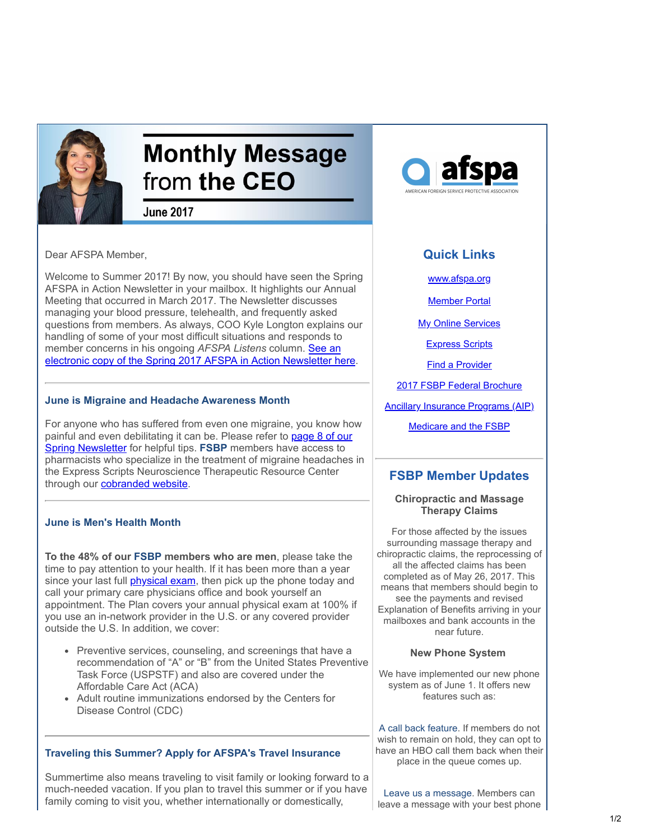

# **Monthly Message** from the CEO

**June 2017** 

Dear AFSPA Member,

Welcome to Summer 2017! By now, you should have seen the Spring AFSPA in Action Newsletter in your mailbox. It highlights our Annual Meeting that occurred in March 2017. The Newsletter discusses managing your blood pressure, telehealth, and frequently asked questions from members. As always, COO Kyle Longton explains our handling of some of your most difficult situations and responds to member concerns in his ongoing *AFSPA Listens* column. See an [electronic copy of the Spring 2017 AFSPA in Action Newsletter here.](https://www.afspa.org/filestoreAFSPA/2017_AFSPA_Spring_Newsletter.pdf?utm_source=Email_marketing_CEO_Message_June2017&utm_campaign=CEO_Message_June2017&cmp=1&utm_medium=HTMLEmail)

## **June is Migraine and Headache Awareness Month**

For anyone who has suffered from even one migraine, you know how [painful and even debilitating it can be. Please refer to page 8 of our](https://www.afspa.org/filestoreAFSPA/2017_AFSPA_Spring_Newsletter.pdf?utm_source=Email_marketing_CEO_Message_June2017&utm_campaign=CEO_Message_June2017&cmp=1&utm_medium=HTMLEmail#page=8) Spring Newsletter for helpful tips. **FSBP** members have access to pharmacists who specialize in the treatment of migraine headaches in the Express Scripts Neuroscience Therapeutic Resource Center through our **cobranded website**.

## **June is Men's Health Month**

**To the 48% of our FSBP members who are men**, please take the time to pay attention to your health. If it has been more than a year since your last full *[physical exam](http://www.webmd.com/a-to-z-guides/annual-physical-examinations?utm_source=Email_marketing_CEO_Message_June2017&utm_campaign=CEO_Message_June2017&cmp=1&utm_medium=HTMLEmail#1)*, then pick up the phone today and call your primary care physicians office and book yourself an appointment. The Plan covers your annual physical exam at 100% if you use an in-network provider in the U.S. or any covered provider outside the U.S. In addition, we cover:

- Preventive services, counseling, and screenings that have a recommendation of "A" or "B" from the United States Preventive Task Force (USPSTF) and also are covered under the Affordable Care Act (ACA)
- Adult routine immunizations endorsed by the Centers for Disease Control (CDC)

## **Traveling this Summer? Apply for AFSPA's Travel Insurance**

Summertime also means traveling to visit family or looking forward to a much-needed vacation. If you plan to travel this summer or if you have family coming to visit you, whether internationally or domestically,



# **Quick Links**

[www.afspa.org](http://www.afspa.org/?utm_source=Email_marketing_CEO_Message_May2017&utm_campaign=Monday_April_24_2017&cmp=1&utm_medium=HTMLEmail)

**[Member Portal](https://secure.myafspa.org/?utm_source=Email_marketing_CEO_Message_May2017&utm_campaign=Monday_April_24_2017&cmp=1&utm_medium=HTMLEmail)** 

**[My Online Services](https://member.cvty.com/memberPortalWeb/appmanager/memberPortal/member?utm_source=Email_marketing_CEO_Message_May2017&utm_campaign=Monday_April_24_2017&cmp=1&utm_medium=HTMLEmail)** 

**[Express Scripts](https://www.express-scripts.com/consumer/site/home?partner=FSBP&accessLink=FSBPDCC&utm_source=Email_marketing_CEO_Message_May2017&utm_source=Email_marketing_CEO_Message_May2017&utm_source=Email_marketing_CEO_Message_May2017&utm_source=Email_marketing_CEO_Message_June2017&utm_source=Email_marketing_CEO_Message_June2017&utm_source=Email_marketing_CEO_Message_June2017&utm_source=Email_marketing_CEO_Message_June2017&utm_campaign=Monday_April_24_2017&utm_campaign=Monday_April_24_2017&utm_campaign=CEO_Message_May_2017&utm_campaign=CEO_Message_June2017&utm_campaign=CEO_Message_June2017&utm_campaign=CEO_Message_June2017&utm_campaign=CEO_Message_June2017&cmp=1&cmp=1&cmp=1&cmp=1&cmp=1&cmp=1&cmp=1&utm_medium=HTMLEmail&utm_medium=HTMLEmail&utm_medium=HTMLEmail&utm_medium=HTMLEmail&utm_medium=HTMLEmail&utm_medium=HTMLEmail&utm_medium=HTMLEmail&utm_source=Email_marketing_CEO_Message_June2017&utm_campaign=CEO_Message_June2017&cmp=1&utm_medium=HTMLEmail)** 

[Find a Provider](http://fsbp.coventryhealthcare.com/member-support/locate-a-provider/index.htm?utm_source=Email_marketing_CEO_Message_May2017&utm_campaign=Monday_April_24_2017&cmp=1&utm_medium=HTMLEmail)

[2017 FSBP Federal Brochure](https://www.afspa.org/filestoreAFSPA/2017RI72-001FSBPBrochure.pdf?utm_source=Email_marketing_CEO_Message_May2017&utm_campaign=Monday_April_24_2017&cmp=1&utm_medium=HTMLEmail)

[Ancillary Insurance Programs \(AIP\)](https://www.afspa.org/aip_home.cfm?utm_source=Email_marketing_CEO_Message_May2017&utm_campaign=Monday_April_24_2017&cmp=1&utm_medium=HTMLEmail)

[Medicare and the FSBP](https://www.afspa.org/filestoreAFSPA/FSBP-17MedicareBooklet.pdf?utm_source=Email_marketing_CEO_Message_June2017&utm_campaign=CEO_Message_June2017&cmp=1&utm_medium=HTMLEmail)

## **FSBP Member Updates**

#### **Chiropractic and Massage Therapy Claims**

For those affected by the issues surrounding massage therapy and chiropractic claims, the reprocessing of all the affected claims has been completed as of May 26, 2017. This means that members should begin to see the payments and revised Explanation of Benefits arriving in your mailboxes and bank accounts in the near future.

#### **New Phone System**

We have implemented our new phone system as of June 1. It offers new features such as:

A call back feature. If members do not wish to remain on hold, they can opt to have an HBO call them back when their place in the queue comes up.

Leave us a message. Members can leave a message with your best phone